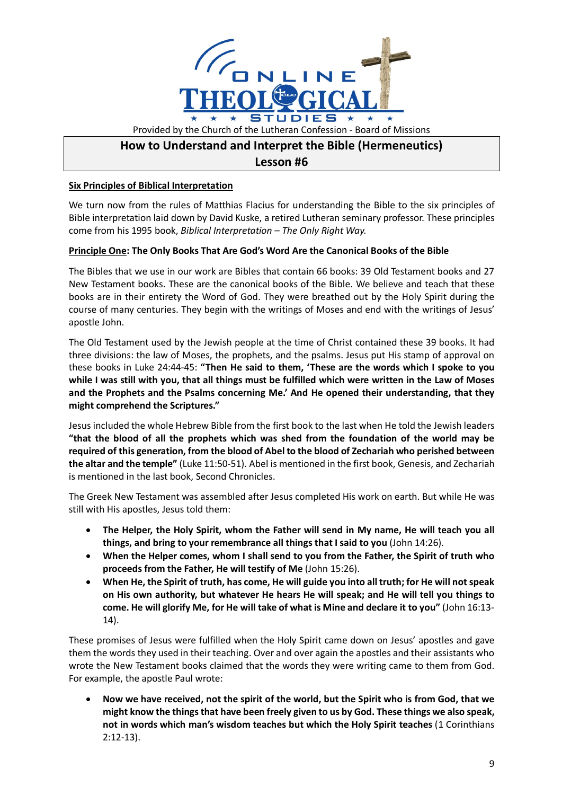

## **How to Understand and Interpret the Bible (Hermeneutics) Lesson #6**

## **Six Principles of Biblical Interpretation**

We turn now from the rules of Matthias Flacius for understanding the Bible to the six principles of Bible interpretation laid down by David Kuske, a retired Lutheran seminary professor. These principles come from his 1995 book, *Biblical Interpretation – The Only Right Way.*

## **Principle One: The Only Books That Are God's Word Are the Canonical Books of the Bible**

The Bibles that we use in our work are Bibles that contain 66 books: 39 Old Testament books and 27 New Testament books. These are the canonical books of the Bible. We believe and teach that these books are in their entirety the Word of God. They were breathed out by the Holy Spirit during the course of many centuries. They begin with the writings of Moses and end with the writings of Jesus' apostle John.

The Old Testament used by the Jewish people at the time of Christ contained these 39 books. It had three divisions: the law of Moses, the prophets, and the psalms. Jesus put His stamp of approval on these books in Luke 24:44-45: **"Then He said to them, 'These are the words which I spoke to you while I was still with you, that all things must be fulfilled which were written in the Law of Moses and the Prophets and the Psalms concerning Me.' And He opened their understanding, that they might comprehend the Scriptures."**

Jesus included the whole Hebrew Bible from the first book to the last when He told the Jewish leaders **"that the blood of all the prophets which was shed from the foundation of the world may be required of this generation, from the blood of Abel to the blood of Zechariah who perished between the altar and the temple"** (Luke 11:50-51). Abel is mentioned in the first book, Genesis, and Zechariah is mentioned in the last book, Second Chronicles.

The Greek New Testament was assembled after Jesus completed His work on earth. But while He was still with His apostles, Jesus told them:

- **The Helper, the Holy Spirit, whom the Father will send in My name, He will teach you all things, and bring to your remembrance all things that I said to you** (John 14:26).
- **When the Helper comes, whom I shall send to you from the Father, the Spirit of truth who proceeds from the Father, He will testify of Me** (John 15:26).
- **When He, the Spirit of truth, has come, He will guide you into all truth; for He will not speak on His own authority, but whatever He hears He will speak; and He will tell you things to come. He will glorify Me, for He will take of what is Mine and declare it to you"** (John 16:13- 14).

These promises of Jesus were fulfilled when the Holy Spirit came down on Jesus' apostles and gave them the words they used in their teaching. Over and over again the apostles and their assistants who wrote the New Testament books claimed that the words they were writing came to them from God. For example, the apostle Paul wrote:

• **Now we have received, not the spirit of the world, but the Spirit who is from God, that we might know the things that have been freely given to us by God. These things we also speak, not in words which man's wisdom teaches but which the Holy Spirit teaches** (1 Corinthians 2:12-13).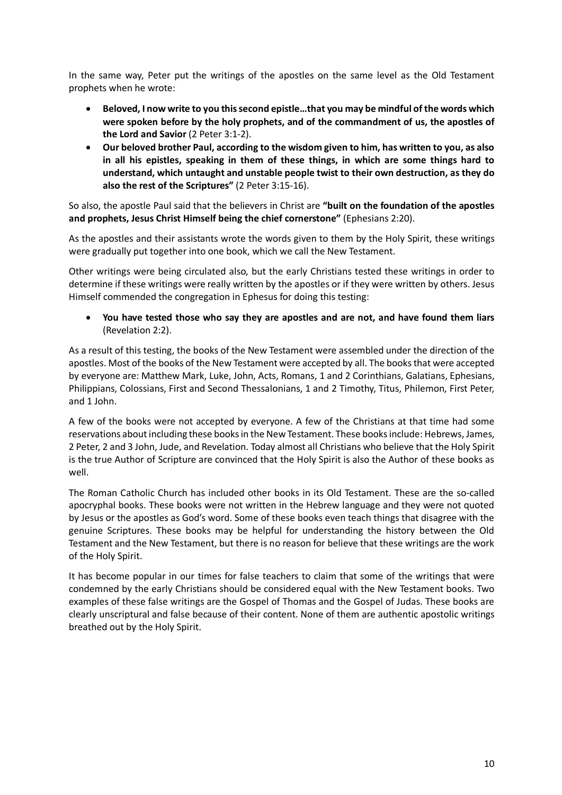In the same way, Peter put the writings of the apostles on the same level as the Old Testament prophets when he wrote:

- **Beloved, I now write to you this second epistle…that you may be mindful of the words which were spoken before by the holy prophets, and of the commandment of us, the apostles of the Lord and Savior** (2 Peter 3:1-2).
- **Our beloved brother Paul, according to the wisdom given to him, has written to you, as also in all his epistles, speaking in them of these things, in which are some things hard to understand, which untaught and unstable people twist to their own destruction, as they do also the rest of the Scriptures"** (2 Peter 3:15-16).

So also, the apostle Paul said that the believers in Christ are **"built on the foundation of the apostles and prophets, Jesus Christ Himself being the chief cornerstone"** (Ephesians 2:20).

As the apostles and their assistants wrote the words given to them by the Holy Spirit, these writings were gradually put together into one book, which we call the New Testament.

Other writings were being circulated also, but the early Christians tested these writings in order to determine if these writings were really written by the apostles or if they were written by others. Jesus Himself commended the congregation in Ephesus for doing this testing:

• **You have tested those who say they are apostles and are not, and have found them liars** (Revelation 2:2).

As a result of this testing, the books of the New Testament were assembled under the direction of the apostles. Most of the books of the New Testament were accepted by all. The books that were accepted by everyone are: Matthew Mark, Luke, John, Acts, Romans, 1 and 2 Corinthians, Galatians, Ephesians, Philippians, Colossians, First and Second Thessalonians, 1 and 2 Timothy, Titus, Philemon, First Peter, and 1 John.

A few of the books were not accepted by everyone. A few of the Christians at that time had some reservations about including these booksin the New Testament. These books include: Hebrews, James, 2 Peter, 2 and 3 John, Jude, and Revelation. Today almost all Christians who believe that the Holy Spirit is the true Author of Scripture are convinced that the Holy Spirit is also the Author of these books as well.

The Roman Catholic Church has included other books in its Old Testament. These are the so-called apocryphal books. These books were not written in the Hebrew language and they were not quoted by Jesus or the apostles as God's word. Some of these books even teach things that disagree with the genuine Scriptures. These books may be helpful for understanding the history between the Old Testament and the New Testament, but there is no reason for believe that these writings are the work of the Holy Spirit.

It has become popular in our times for false teachers to claim that some of the writings that were condemned by the early Christians should be considered equal with the New Testament books. Two examples of these false writings are the Gospel of Thomas and the Gospel of Judas. These books are clearly unscriptural and false because of their content. None of them are authentic apostolic writings breathed out by the Holy Spirit.